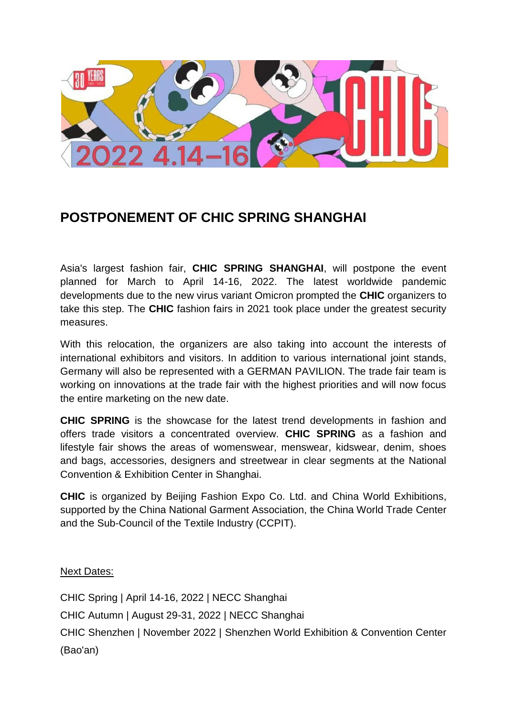

## **POSTPONEMENT OF CHIC SPRING SHANGHAI**

Asia's largest fashion fair, **CHIC SPRING SHANGHAI**, will postpone the event planned for March to April 14-16, 2022. The latest worldwide pandemic developments due to the new virus variant Omicron prompted the **CHIC** organizers to take this step. The **CHIC** fashion fairs in 2021 took place under the greatest security measures.

With this relocation, the organizers are also taking into account the interests of international exhibitors and visitors. In addition to various international joint stands, Germany will also be represented with a GERMAN PAVILION. The trade fair team is working on innovations at the trade fair with the highest priorities and will now focus the entire marketing on the new date.

**CHIC SPRING** is the showcase for the latest trend developments in fashion and offers trade visitors a concentrated overview. **CHIC SPRING** as a fashion and lifestyle fair shows the areas of womenswear, menswear, kidswear, denim, shoes and bags, accessories, designers and streetwear in clear segments at the National Convention & Exhibition Center in Shanghai.

**CHIC** is organized by Beijing Fashion Expo Co. Ltd. and China World Exhibitions, supported by the China National Garment Association, the China World Trade Center and the Sub-Council of the Textile Industry (CCPIT).

Next Dates:

CHIC Spring | April 14-16, 2022 | NECC Shanghai CHIC Autumn | August 29-31, 2022 | NECC Shanghai CHIC Shenzhen | November 2022 | Shenzhen World Exhibition & Convention Center (Bao'an)